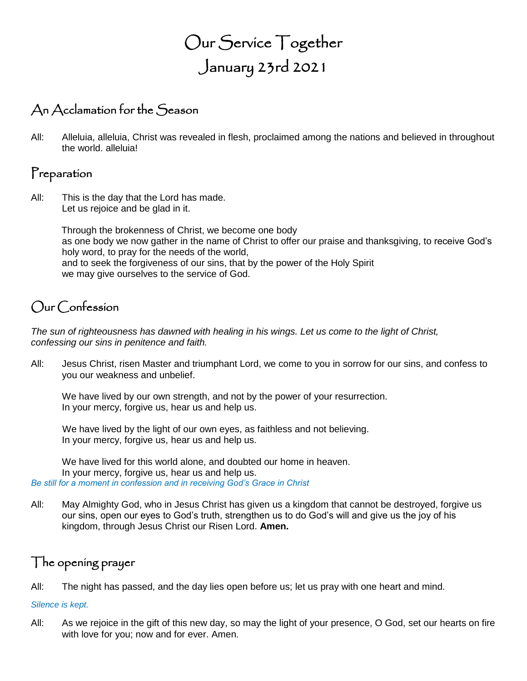# Our Service Together January 23rd 2021

# An Acclamation for the Season

All: Alleluia, alleluia, Christ was revealed in flesh, proclaimed among the nations and believed in throughout the world. alleluia!

# Preparation

All: This is the day that the Lord has made. Let us rejoice and be glad in it.

> Through the brokenness of Christ, we become one body as one body we now gather in the name of Christ to offer our praise and thanksgiving, to receive God's holy word, to pray for the needs of the world, and to seek the forgiveness of our sins, that by the power of the Holy Spirit we may give ourselves to the service of God.

# Our Confession

*The sun of righteousness has dawned with healing in his wings. Let us come to the light of Christ, confessing our sins in penitence and faith.*

All: Jesus Christ, risen Master and triumphant Lord, we come to you in sorrow for our sins, and confess to you our weakness and unbelief.

We have lived by our own strength, and not by the power of your resurrection. In your mercy, forgive us, hear us and help us.

We have lived by the light of our own eyes, as faithless and not believing. In your mercy, forgive us, hear us and help us.

We have lived for this world alone, and doubted our home in heaven. In your mercy, forgive us, hear us and help us. *Be still for a moment in confession and in receiving God's Grace in Christ*

All: May Almighty God, who in Jesus Christ has given us a kingdom that cannot be destroyed, forgive us our sins, open our eyes to God's truth, strengthen us to do God's will and give us the joy of his kingdom, through Jesus Christ our Risen Lord. **Amen.**

## The opening prayer

All: The night has passed, and the day lies open before us; let us pray with one heart and mind.

#### *Silence is kept.*

All: As we rejoice in the gift of this new day, so may the light of your presence, O God, set our hearts on fire with love for you; now and for ever. Amen.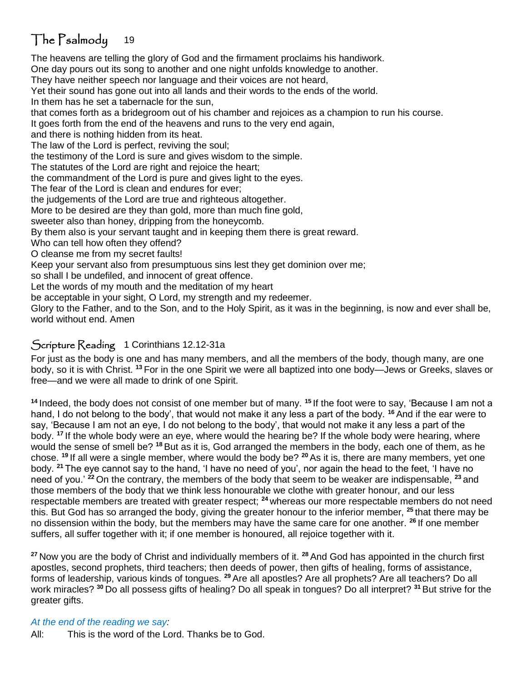# The Psalmody 19

The heavens are telling the glory of God and the firmament proclaims his handiwork. One day pours out its song to another and one night unfolds knowledge to another. They have neither speech nor language and their voices are not heard, Yet their sound has gone out into all lands and their words to the ends of the world.

In them has he set a tabernacle for the sun,

that comes forth as a bridegroom out of his chamber and rejoices as a champion to run his course.

It goes forth from the end of the heavens and runs to the very end again,

and there is nothing hidden from its heat.

The law of the Lord is perfect, reviving the soul;

the testimony of the Lord is sure and gives wisdom to the simple.

The statutes of the Lord are right and rejoice the heart;

the commandment of the Lord is pure and gives light to the eyes.

The fear of the Lord is clean and endures for ever;

the judgements of the Lord are true and righteous altogether.

More to be desired are they than gold, more than much fine gold,

sweeter also than honey, dripping from the honeycomb.

By them also is your servant taught and in keeping them there is great reward.

Who can tell how often they offend?

O cleanse me from my secret faults!

Keep your servant also from presumptuous sins lest they get dominion over me;

so shall I be undefiled, and innocent of great offence.

Let the words of my mouth and the meditation of my heart

be acceptable in your sight, O Lord, my strength and my redeemer.

Glory to the Father, and to the Son, and to the Holy Spirit, as it was in the beginning, is now and ever shall be, world without end. Amen

### Scripture Reading 1 Corinthians 12.12-31a

For just as the body is one and has many members, and all the members of the body, though many, are one body, so it is with Christ. **<sup>13</sup>** For in the one Spirit we were all baptized into one body—Jews or Greeks, slaves or free—and we were all made to drink of one Spirit.

**<sup>14</sup>** Indeed, the body does not consist of one member but of many. **<sup>15</sup>** If the foot were to say, 'Because I am not a hand, I do not belong to the body', that would not make it any less a part of the body. **<sup>16</sup>** And if the ear were to say, 'Because I am not an eye, I do not belong to the body', that would not make it any less a part of the body. **<sup>17</sup>** If the whole body were an eye, where would the hearing be? If the whole body were hearing, where would the sense of smell be? **<sup>18</sup>** But as it is, God arranged the members in the body, each one of them, as he chose. **<sup>19</sup>** If all were a single member, where would the body be? **<sup>20</sup>** As it is, there are many members, yet one body. **<sup>21</sup>** The eye cannot say to the hand, 'I have no need of you', nor again the head to the feet, 'I have no need of you.' **<sup>22</sup>** On the contrary, the members of the body that seem to be weaker are indispensable, **<sup>23</sup>** and those members of the body that we think less honourable we clothe with greater honour, and our less respectable members are treated with greater respect; **<sup>24</sup>** whereas our more respectable members do not need this. But God has so arranged the body, giving the greater honour to the inferior member, **<sup>25</sup>** that there may be no dissension within the body, but the members may have the same care for one another. **<sup>26</sup>** If one member suffers, all suffer together with it; if one member is honoured, all rejoice together with it.

**<sup>27</sup>** Now you are the body of Christ and individually members of it. **<sup>28</sup>** And God has appointed in the church first apostles, second prophets, third teachers; then deeds of power, then gifts of healing, forms of assistance, forms of leadership, various kinds of tongues. **<sup>29</sup>** Are all apostles? Are all prophets? Are all teachers? Do all work miracles? **<sup>30</sup>** Do all possess gifts of healing? Do all speak in tongues? Do all interpret? **<sup>31</sup>** But strive for the greater gifts.

*At the end of the reading we say:* All: This is the word of the Lord. Thanks be to God.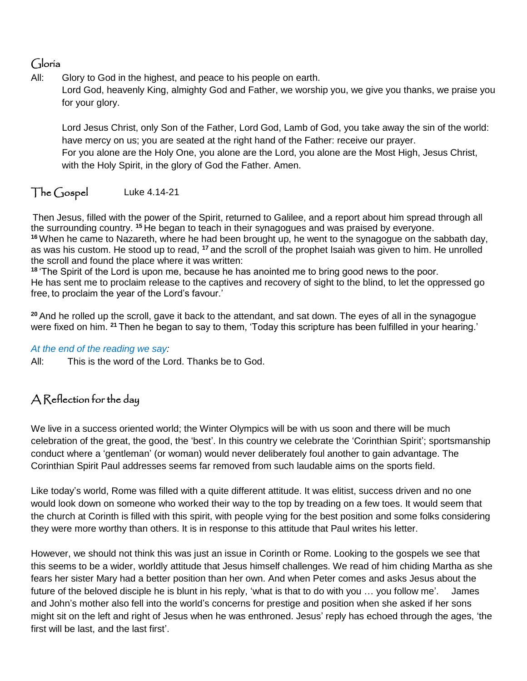## Gloria

All: Glory to God in the highest, and peace to his people on earth. Lord God, heavenly King, almighty God and Father, we worship you, we give you thanks, we praise you for your glory.

Lord Jesus Christ, only Son of the Father, Lord God, Lamb of God, you take away the sin of the world: have mercy on us; you are seated at the right hand of the Father: receive our prayer. For you alone are the Holy One, you alone are the Lord, you alone are the Most High, Jesus Christ, with the Holy Spirit, in the glory of God the Father. Amen.

#### The Gospel Luke 4.14-21

Then Jesus, filled with the power of the Spirit, returned to Galilee, and a report about him spread through all the surrounding country. **<sup>15</sup>** He began to teach in their synagogues and was praised by everyone. **<sup>16</sup>** When he came to Nazareth, where he had been brought up, he went to the synagogue on the sabbath day, as was his custom. He stood up to read, **<sup>17</sup>** and the scroll of the prophet Isaiah was given to him. He unrolled the scroll and found the place where it was written:

**<sup>18</sup>** 'The Spirit of the Lord is upon me, because he has anointed me to bring good news to the poor. He has sent me to proclaim release to the captives and recovery of sight to the blind, to let the oppressed go free, to proclaim the year of the Lord's favour.'

**<sup>20</sup>** And he rolled up the scroll, gave it back to the attendant, and sat down. The eyes of all in the synagogue were fixed on him. **<sup>21</sup>** Then he began to say to them, 'Today this scripture has been fulfilled in your hearing.'

#### *At the end of the reading we say:*

All: This is the word of the Lord. Thanks be to God.

## A Reflection for the day

We live in a success oriented world; the Winter Olympics will be with us soon and there will be much celebration of the great, the good, the 'best'. In this country we celebrate the 'Corinthian Spirit'; sportsmanship conduct where a 'gentleman' (or woman) would never deliberately foul another to gain advantage. The Corinthian Spirit Paul addresses seems far removed from such laudable aims on the sports field.

Like today's world, Rome was filled with a quite different attitude. It was elitist, success driven and no one would look down on someone who worked their way to the top by treading on a few toes. It would seem that the church at Corinth is filled with this spirit, with people vying for the best position and some folks considering they were more worthy than others. It is in response to this attitude that Paul writes his letter.

However, we should not think this was just an issue in Corinth or Rome. Looking to the gospels we see that this seems to be a wider, worldly attitude that Jesus himself challenges. We read of him chiding Martha as she fears her sister Mary had a better position than her own. And when Peter comes and asks Jesus about the future of the beloved disciple he is blunt in his reply, 'what is that to do with you … you follow me'. James and John's mother also fell into the world's concerns for prestige and position when she asked if her sons might sit on the left and right of Jesus when he was enthroned. Jesus' reply has echoed through the ages, 'the first will be last, and the last first'.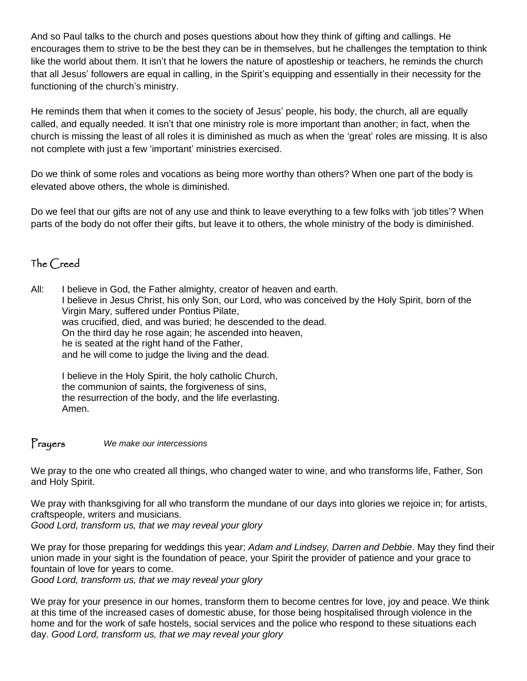And so Paul talks to the church and poses questions about how they think of gifting and callings. He encourages them to strive to be the best they can be in themselves, but he challenges the temptation to think like the world about them. It isn't that he lowers the nature of apostleship or teachers, he reminds the church that all Jesus' followers are equal in calling, in the Spirit's equipping and essentially in their necessity for the functioning of the church's ministry.

He reminds them that when it comes to the society of Jesus' people, his body, the church, all are equally called, and equally needed. It isn't that one ministry role is more important than another; in fact, when the church is missing the least of all roles it is diminished as much as when the 'great' roles are missing. It is also not complete with just a few 'important' ministries exercised.

Do we think of some roles and vocations as being more worthy than others? When one part of the body is elevated above others, the whole is diminished.

Do we feel that our gifts are not of any use and think to leave everything to a few folks with 'job titles'? When parts of the body do not offer their gifts, but leave it to others, the whole ministry of the body is diminished.

## The Creed

All: I believe in God, the Father almighty, creator of heaven and earth. I believe in Jesus Christ, his only Son, our Lord, who was conceived by the Holy Spirit, born of the Virgin Mary, suffered under Pontius Pilate, was crucified, died, and was buried; he descended to the dead. On the third day he rose again; he ascended into heaven, he is seated at the right hand of the Father, and he will come to judge the living and the dead.

I believe in the Holy Spirit, the holy catholic Church, the communion of saints, the forgiveness of sins, the resurrection of the body, and the life everlasting. Amen.

Prayers *We make our intercessions*

We pray to the one who created all things, who changed water to wine, and who transforms life, Father, Son and Holy Spirit.

We pray with thanksgiving for all who transform the mundane of our days into glories we rejoice in; for artists, craftspeople, writers and musicians.

*Good Lord, transform us, that we may reveal your glory*

We pray for those preparing for weddings this year; *Adam and Lindsey, Darren and Debbie*. May they find their union made in your sight is the foundation of peace, your Spirit the provider of patience and your grace to fountain of love for years to come.

*Good Lord, transform us, that we may reveal your glory*

We pray for your presence in our homes, transform them to become centres for love, joy and peace. We think at this time of the increased cases of domestic abuse, for those being hospitalised through violence in the home and for the work of safe hostels, social services and the police who respond to these situations each day. *Good Lord, transform us, that we may reveal your glory*